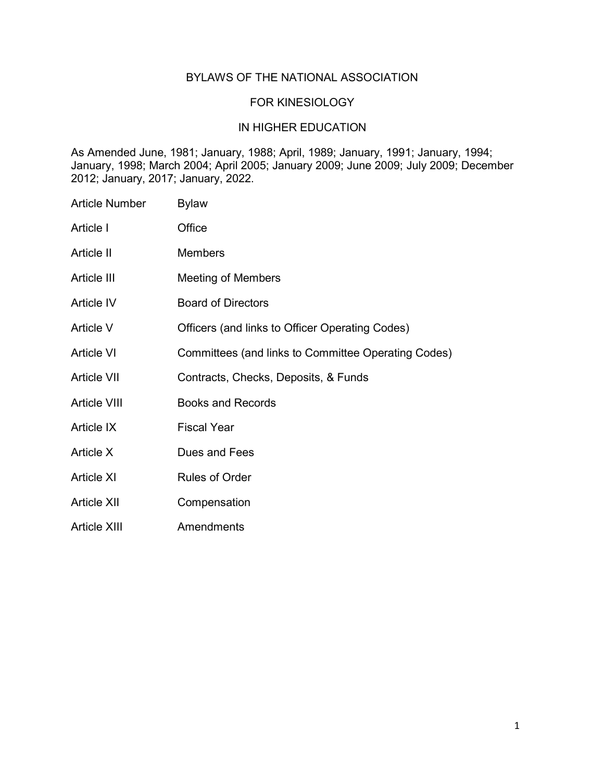## BYLAWS OF THE NATIONAL ASSOCIATION

### FOR KINESIOLOGY

### IN HIGHER EDUCATION

As Amended June, 1981; January, 1988; April, 1989; January, 1991; January, 1994; January, 1998; March 2004; April 2005; January 2009; June 2009; July 2009; December 2012; January, 2017; January, 2022.

Article Number Bylaw Article I Office Article II Members Article III Meeting of Members Article IV Board of Directors Article V Officers (and links to Officer Operating Codes) Article VI Committees (and links to Committee Operating Codes) Article VII Contracts, Checks, Deposits, & Funds Article VIII Books and Records Article IX Fiscal Year Article X Dues and Fees Article XI Rules of Order Article XII Compensation Article XIII **Amendments**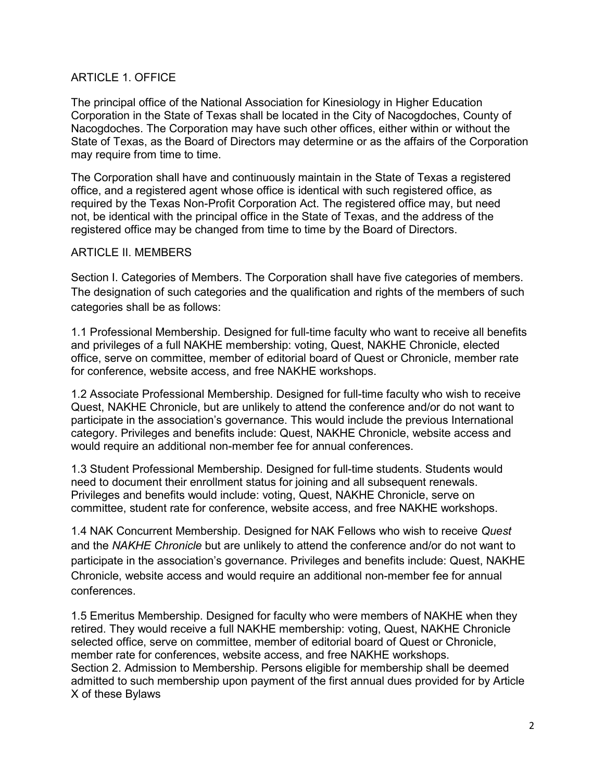# ARTICLE 1. OFFICE

The principal office of the National Association for Kinesiology in Higher Education Corporation in the State of Texas shall be located in the City of Nacogdoches, County of Nacogdoches. The Corporation may have such other offices, either within or without the State of Texas, as the Board of Directors may determine or as the affairs of the Corporation may require from time to time.

The Corporation shall have and continuously maintain in the State of Texas a registered office, and a registered agent whose office is identical with such registered office, as required by the Texas Non-Profit Corporation Act. The registered office may, but need not, be identical with the principal office in the State of Texas, and the address of the registered office may be changed from time to time by the Board of Directors.

## ARTICLE II. MEMBERS

Section I. Categories of Members. The Corporation shall have five categories of members. The designation of such categories and the qualification and rights of the members of such categories shall be as follows:

1.1 Professional Membership. Designed for full-time faculty who want to receive all benefits and privileges of a full NAKHE membership: voting, Quest, NAKHE Chronicle, elected office, serve on committee, member of editorial board of Quest or Chronicle, member rate for conference, website access, and free NAKHE workshops.

1.2 Associate Professional Membership. Designed for full-time faculty who wish to receive Quest, NAKHE Chronicle, but are unlikely to attend the conference and/or do not want to participate in the association's governance. This would include the previous International category. Privileges and benefits include: Quest, NAKHE Chronicle, website access and would require an additional non-member fee for annual conferences.

1.3 Student Professional Membership. Designed for full-time students. Students would need to document their enrollment status for joining and all subsequent renewals. Privileges and benefits would include: voting, Quest, NAKHE Chronicle, serve on committee, student rate for conference, website access, and free NAKHE workshops.

1.4 NAK Concurrent Membership. Designed for NAK Fellows who wish to receive *Quest*  and the *NAKHE Chronicle* but are unlikely to attend the conference and/or do not want to participate in the association's governance. Privileges and benefits include: Quest, NAKHE Chronicle, website access and would require an additional non-member fee for annual conferences.

1.5 Emeritus Membership. Designed for faculty who were members of NAKHE when they retired. They would receive a full NAKHE membership: voting, Quest, NAKHE Chronicle selected office, serve on committee, member of editorial board of Quest or Chronicle, member rate for conferences, website access, and free NAKHE workshops. Section 2. Admission to Membership. Persons eligible for membership shall be deemed admitted to such membership upon payment of the first annual dues provided for by Article X of these Bylaws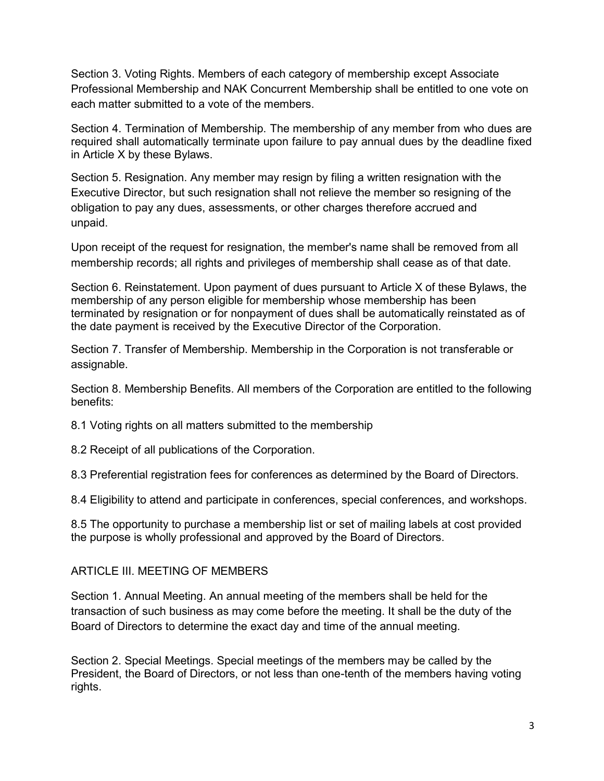Section 3. Voting Rights. Members of each category of membership except Associate Professional Membership and NAK Concurrent Membership shall be entitled to one vote on each matter submitted to a vote of the members.

Section 4. Termination of Membership. The membership of any member from who dues are required shall automatically terminate upon failure to pay annual dues by the deadline fixed in Article X by these Bylaws.

Section 5. Resignation. Any member may resign by filing a written resignation with the Executive Director, but such resignation shall not relieve the member so resigning of the obligation to pay any dues, assessments, or other charges therefore accrued and unpaid.

Upon receipt of the request for resignation, the member's name shall be removed from all membership records; all rights and privileges of membership shall cease as of that date.

Section 6. Reinstatement. Upon payment of dues pursuant to Article X of these Bylaws, the membership of any person eligible for membership whose membership has been terminated by resignation or for nonpayment of dues shall be automatically reinstated as of the date payment is received by the Executive Director of the Corporation.

Section 7. Transfer of Membership. Membership in the Corporation is not transferable or assignable.

Section 8. Membership Benefits. All members of the Corporation are entitled to the following benefits:

8.1 Voting rights on all matters submitted to the membership

8.2 Receipt of all publications of the Corporation.

8.3 Preferential registration fees for conferences as determined by the Board of Directors.

8.4 Eligibility to attend and participate in conferences, special conferences, and workshops.

8.5 The opportunity to purchase a membership list or set of mailing labels at cost provided the purpose is wholly professional and approved by the Board of Directors.

# ARTICLE III. MEETING OF MEMBERS

Section 1. Annual Meeting. An annual meeting of the members shall be held for the transaction of such business as may come before the meeting. It shall be the duty of the Board of Directors to determine the exact day and time of the annual meeting.

Section 2. Special Meetings. Special meetings of the members may be called by the President, the Board of Directors, or not less than one-tenth of the members having voting rights.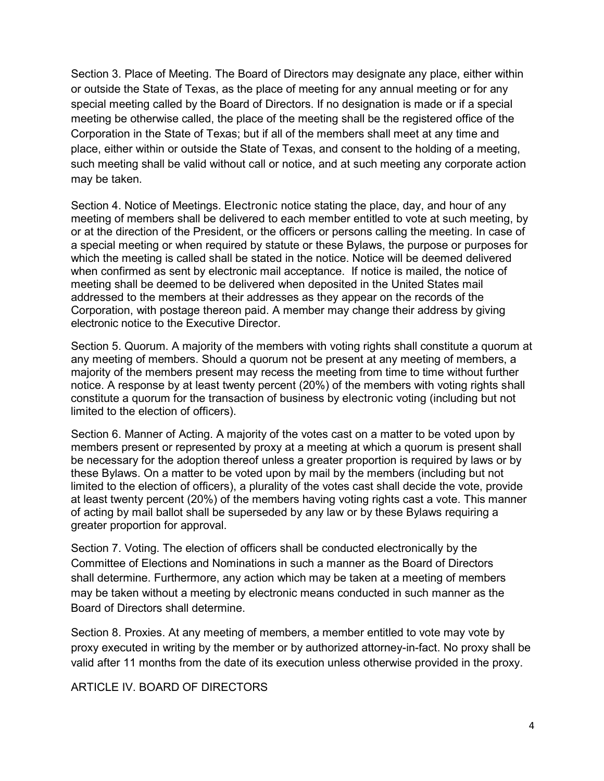Section 3. Place of Meeting. The Board of Directors may designate any place, either within or outside the State of Texas, as the place of meeting for any annual meeting or for any special meeting called by the Board of Directors. If no designation is made or if a special meeting be otherwise called, the place of the meeting shall be the registered office of the Corporation in the State of Texas; but if all of the members shall meet at any time and place, either within or outside the State of Texas, and consent to the holding of a meeting, such meeting shall be valid without call or notice, and at such meeting any corporate action may be taken.

Section 4. Notice of Meetings. Electronic notice stating the place, day, and hour of any meeting of members shall be delivered to each member entitled to vote at such meeting, by or at the direction of the President, or the officers or persons calling the meeting. In case of a special meeting or when required by statute or these Bylaws, the purpose or purposes for which the meeting is called shall be stated in the notice. Notice will be deemed delivered when confirmed as sent by electronic mail acceptance. If notice is mailed, the notice of meeting shall be deemed to be delivered when deposited in the United States mail addressed to the members at their addresses as they appear on the records of the Corporation, with postage thereon paid. A member may change their address by giving electronic notice to the Executive Director.

Section 5. Quorum. A majority of the members with voting rights shall constitute a quorum at any meeting of members. Should a quorum not be present at any meeting of members, a majority of the members present may recess the meeting from time to time without further notice. A response by at least twenty percent (20%) of the members with voting rights shall constitute a quorum for the transaction of business by electronic voting (including but not limited to the election of officers).

Section 6. Manner of Acting. A majority of the votes cast on a matter to be voted upon by members present or represented by proxy at a meeting at which a quorum is present shall be necessary for the adoption thereof unless a greater proportion is required by laws or by these Bylaws. On a matter to be voted upon by mail by the members (including but not limited to the election of officers), a plurality of the votes cast shall decide the vote, provide at least twenty percent (20%) of the members having voting rights cast a vote. This manner of acting by mail ballot shall be superseded by any law or by these Bylaws requiring a greater proportion for approval.

Section 7. Voting. The election of officers shall be conducted electronically by the Committee of Elections and Nominations in such a manner as the Board of Directors shall determine. Furthermore, any action which may be taken at a meeting of members may be taken without a meeting by electronic means conducted in such manner as the Board of Directors shall determine.

Section 8. Proxies. At any meeting of members, a member entitled to vote may vote by proxy executed in writing by the member or by authorized attorney-in-fact. No proxy shall be valid after 11 months from the date of its execution unless otherwise provided in the proxy.

## ARTICLE IV. BOARD OF DIRECTORS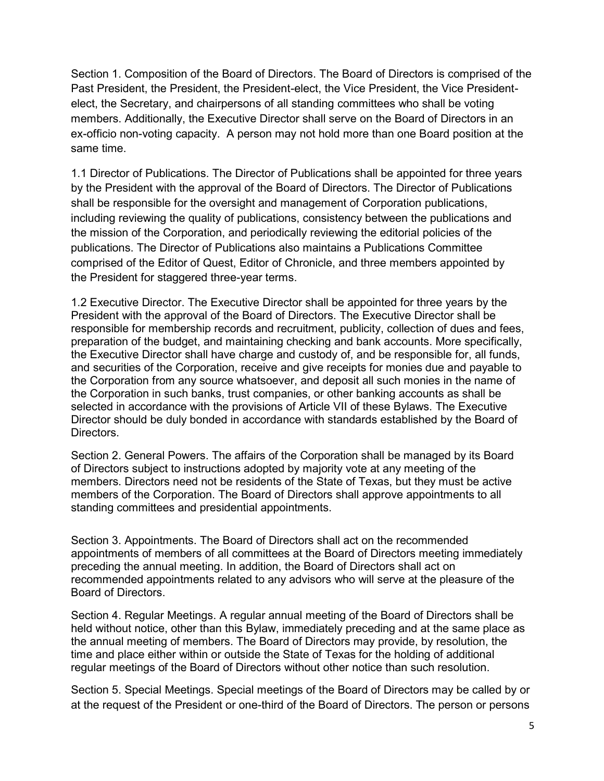Section 1. Composition of the Board of Directors. The Board of Directors is comprised of the Past President, the President, the President-elect, the Vice President, the Vice Presidentelect, the Secretary, and chairpersons of all standing committees who shall be voting members. Additionally, the Executive Director shall serve on the Board of Directors in an ex-officio non-voting capacity. A person may not hold more than one Board position at the same time.

1.1 Director of Publications. The Director of Publications shall be appointed for three years by the President with the approval of the Board of Directors. The Director of Publications shall be responsible for the oversight and management of Corporation publications, including reviewing the quality of publications, consistency between the publications and the mission of the Corporation, and periodically reviewing the editorial policies of the publications. The Director of Publications also maintains a Publications Committee comprised of the Editor of Quest, Editor of Chronicle, and three members appointed by the President for staggered three-year terms.

1.2 Executive Director. The Executive Director shall be appointed for three years by the President with the approval of the Board of Directors. The Executive Director shall be responsible for membership records and recruitment, publicity, collection of dues and fees, preparation of the budget, and maintaining checking and bank accounts. More specifically, the Executive Director shall have charge and custody of, and be responsible for, all funds, and securities of the Corporation, receive and give receipts for monies due and payable to the Corporation from any source whatsoever, and deposit all such monies in the name of the Corporation in such banks, trust companies, or other banking accounts as shall be selected in accordance with the provisions of Article VII of these Bylaws. The Executive Director should be duly bonded in accordance with standards established by the Board of Directors.

Section 2. General Powers. The affairs of the Corporation shall be managed by its Board of Directors subject to instructions adopted by majority vote at any meeting of the members. Directors need not be residents of the State of Texas, but they must be active members of the Corporation. The Board of Directors shall approve appointments to all standing committees and presidential appointments.

Section 3. Appointments. The Board of Directors shall act on the recommended appointments of members of all committees at the Board of Directors meeting immediately preceding the annual meeting. In addition, the Board of Directors shall act on recommended appointments related to any advisors who will serve at the pleasure of the Board of Directors.

Section 4. Regular Meetings. A regular annual meeting of the Board of Directors shall be held without notice, other than this Bylaw, immediately preceding and at the same place as the annual meeting of members. The Board of Directors may provide, by resolution, the time and place either within or outside the State of Texas for the holding of additional regular meetings of the Board of Directors without other notice than such resolution.

Section 5. Special Meetings. Special meetings of the Board of Directors may be called by or at the request of the President or one-third of the Board of Directors. The person or persons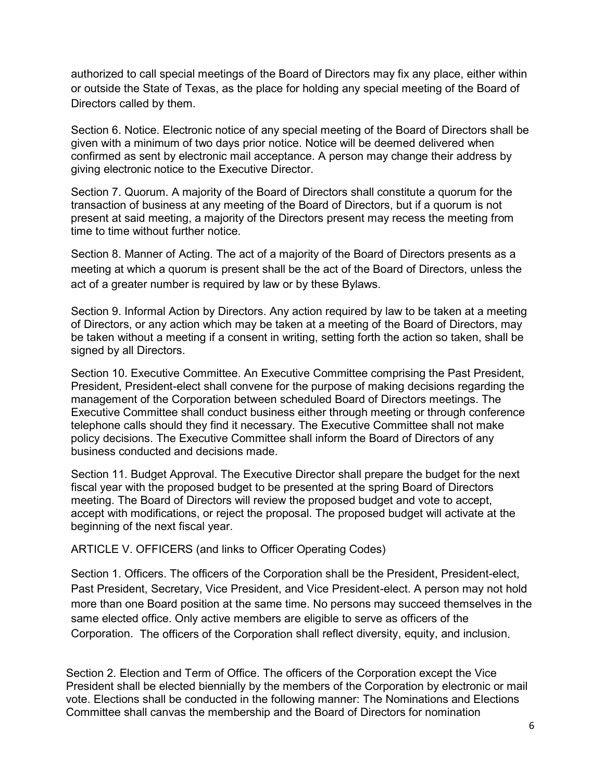authorized to call special meetings of the Board of Directors may fix any place, either within or outside the State of Texas, as the place for holding any special meeting of the Board of Directors called by them.

Section 6. Notice. Electronic notice of any special meeting of the Board of Directors shall be given with a minimum of two days prior notice. Notice will be deemed delivered when confirmed as sent by electronic mail acceptance. A person may change their address by giving electronic notice to the Executive Director.

Section 7. Quorum. A majority of the Board of Directors shall constitute a quorum for the transaction of business at any meeting of the Board of Directors, but if a quorum is not present at said meeting, a majority of the Directors present may recess the meeting from time to time without further notice.

Section 8. Manner of Acting. The act of a majority of the Board of Directors presents as a meeting at which a quorum is present shall be the act of the Board of Directors, unless the act of a greater number is required by law or by these Bylaws.

Section 9. Informal Action by Directors. Any action required by law to be taken at a meeting of Directors, or any action which may be taken at a meeting of the Board of Directors, may be taken without a meeting if a consent in writing, setting forth the action so taken, shall be signed by all Directors.

Section 10. Executive Committee. An Executive Committee comprising the Past President, President, President-elect shall convene for the purpose of making decisions regarding the management of the Corporation between scheduled Board of Directors meetings. The Executive Committee shall conduct business either through meeting or through conference telephone calls should they find it necessary. The Executive Committee shall not make policy decisions. The Executive Committee shall inform the Board of Directors of any business conducted and decisions made.

Section 11. Budget Approval. The Executive Director shall prepare the budget for the next fiscal year with the proposed budget to be presented at the spring Board of Directors meeting. The Board of Directors will review the proposed budget and vote to accept, accept with modifications, or reject the proposal. The proposed budget will activate at the beginning of the next fiscal year.

ARTICLE V. OFFICERS (and links to Officer Operating Codes)

Section 1. Officers. The officers of the Corporation shall be the President, President-elect, Past President, Secretary, Vice President, and Vice President-elect. A person may not hold more than one Board position at the same time. No persons may succeed themselves in the same elected office. Only active members are eligible to serve as officers of the Corporation. The officers of the Corporation shall reflect diversity, equity, and inclusion.

Section 2. Election and Term of Office. The officers of the Corporation except the Vice President shall be elected biennially by the members of the Corporation by electronic or mail vote. Elections shall be conducted in the following manner: The Nominations and Elections Committee shall canvas the membership and the Board of Directors for nomination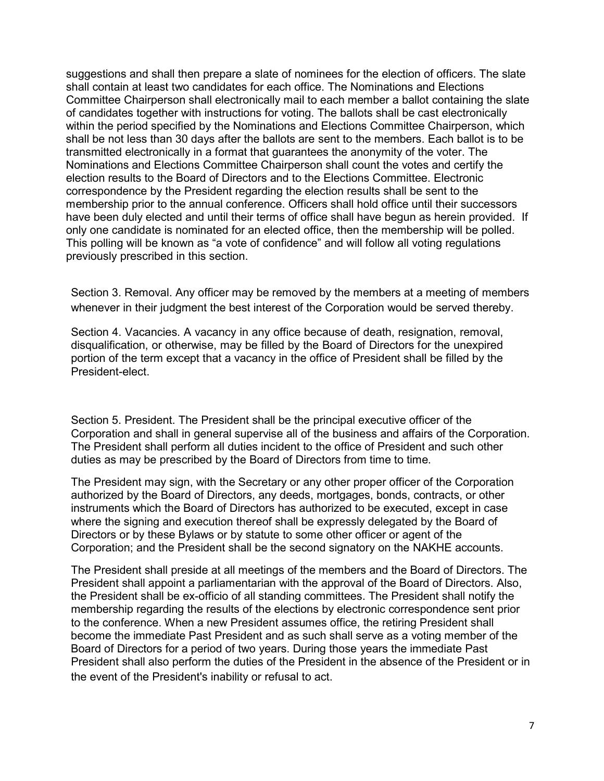suggestions and shall then prepare a slate of nominees for the election of officers. The slate shall contain at least two candidates for each office. The Nominations and Elections Committee Chairperson shall electronically mail to each member a ballot containing the slate of candidates together with instructions for voting. The ballots shall be cast electronically within the period specified by the Nominations and Elections Committee Chairperson, which shall be not less than 30 days after the ballots are sent to the members. Each ballot is to be transmitted electronically in a format that guarantees the anonymity of the voter. The Nominations and Elections Committee Chairperson shall count the votes and certify the election results to the Board of Directors and to the Elections Committee. Electronic correspondence by the President regarding the election results shall be sent to the membership prior to the annual conference. Officers shall hold office until their successors have been duly elected and until their terms of office shall have begun as herein provided. If only one candidate is nominated for an elected office, then the membership will be polled. This polling will be known as "a vote of confidence" and will follow all voting regulations previously prescribed in this section.

Section 3. Removal. Any officer may be removed by the members at a meeting of members whenever in their judgment the best interest of the Corporation would be served thereby.

Section 4. Vacancies. A vacancy in any office because of death, resignation, removal, disqualification, or otherwise, may be filled by the Board of Directors for the unexpired portion of the term except that a vacancy in the office of President shall be filled by the President-elect.

Section 5. President. The President shall be the principal executive officer of the Corporation and shall in general supervise all of the business and affairs of the Corporation. The President shall perform all duties incident to the office of President and such other duties as may be prescribed by the Board of Directors from time to time.

The President may sign, with the Secretary or any other proper officer of the Corporation authorized by the Board of Directors, any deeds, mortgages, bonds, contracts, or other instruments which the Board of Directors has authorized to be executed, except in case where the signing and execution thereof shall be expressly delegated by the Board of Directors or by these Bylaws or by statute to some other officer or agent of the Corporation; and the President shall be the second signatory on the NAKHE accounts.

The President shall preside at all meetings of the members and the Board of Directors. The President shall appoint a parliamentarian with the approval of the Board of Directors. Also, the President shall be ex-officio of all standing committees. The President shall notify the membership regarding the results of the elections by electronic correspondence sent prior to the conference. When a new President assumes office, the retiring President shall become the immediate Past President and as such shall serve as a voting member of the Board of Directors for a period of two years. During those years the immediate Past President shall also perform the duties of the President in the absence of the President or in the event of the President's inability or refusal to act.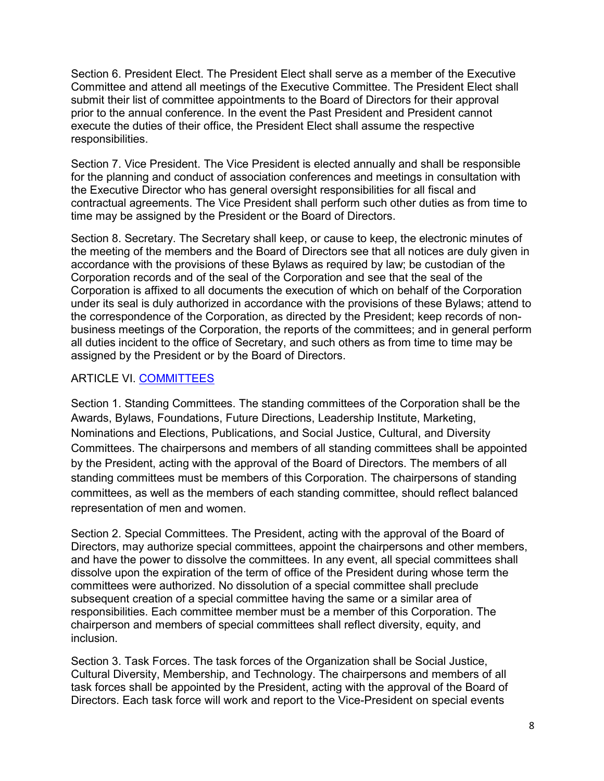Section 6. President Elect. The President Elect shall serve as a member of the Executive Committee and attend all meetings of the Executive Committee. The President Elect shall submit their list of committee appointments to the Board of Directors for their approval prior to the annual conference. In the event the Past President and President cannot execute the duties of their office, the President Elect shall assume the respective responsibilities.

Section 7. Vice President. The Vice President is elected annually and shall be responsible for the planning and conduct of association conferences and meetings in consultation with the Executive Director who has general oversight responsibilities for all fiscal and contractual agreements. The Vice President shall perform such other duties as from time to time may be assigned by the President or the Board of Directors.

Section 8. Secretary. The Secretary shall keep, or cause to keep, the electronic minutes of the meeting of the members and the Board of Directors see that all notices are duly given in accordance with the provisions of these Bylaws as required by law; be custodian of the Corporation records and of the seal of the Corporation and see that the seal of the Corporation is affixed to all documents the execution of which on behalf of the Corporation under its seal is duly authorized in accordance with the provisions of these Bylaws; attend to the correspondence of the Corporation, as directed by the President; keep records of nonbusiness meetings of the Corporation, the reports of the committees; and in general perform all duties incident to the office of Secretary, and such others as from time to time may be assigned by the President or by the Board of Directors.

# ARTICLE VI. [COMMITTEES](https://www.nakhe.org/committees.html)

Section 1. Standing Committees. The standing committees of the Corporation shall be the Awards, Bylaws, Foundations, Future Directions, Leadership Institute, Marketing, Nominations and Elections, Publications, and Social Justice, Cultural, and Diversity Committees. The chairpersons and members of all standing committees shall be appointed by the President, acting with the approval of the Board of Directors. The members of all standing committees must be members of this Corporation. The chairpersons of standing committees, as well as the members of each standing committee, should reflect balanced representation of men and women.

Section 2. Special Committees. The President, acting with the approval of the Board of Directors, may authorize special committees, appoint the chairpersons and other members, and have the power to dissolve the committees. In any event, all special committees shall dissolve upon the expiration of the term of office of the President during whose term the committees were authorized. No dissolution of a special committee shall preclude subsequent creation of a special committee having the same or a similar area of responsibilities. Each committee member must be a member of this Corporation. The chairperson and members of special committees shall reflect diversity, equity, and inclusion.

Section 3. Task Forces. The task forces of the Organization shall be Social Justice, Cultural Diversity, Membership, and Technology. The chairpersons and members of all task forces shall be appointed by the President, acting with the approval of the Board of Directors. Each task force will work and report to the Vice-President on special events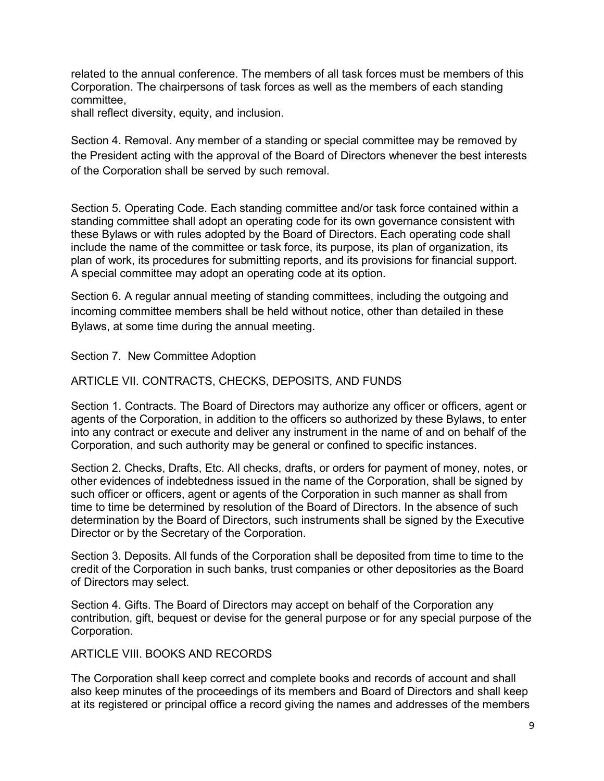related to the annual conference. The members of all task forces must be members of this Corporation. The chairpersons of task forces as well as the members of each standing committee,

shall reflect diversity, equity, and inclusion.

Section 4. Removal. Any member of a standing or special committee may be removed by the President acting with the approval of the Board of Directors whenever the best interests of the Corporation shall be served by such removal.

Section 5. Operating Code. Each standing committee and/or task force contained within a standing committee shall adopt an operating code for its own governance consistent with these Bylaws or with rules adopted by the Board of Directors. Each operating code shall include the name of the committee or task force, its purpose, its plan of organization, its plan of work, its procedures for submitting reports, and its provisions for financial support. A special committee may adopt an operating code at its option.

Section 6. A regular annual meeting of standing committees, including the outgoing and incoming committee members shall be held without notice, other than detailed in these Bylaws, at some time during the annual meeting.

Section 7. New Committee Adoption

ARTICLE VII. CONTRACTS, CHECKS, DEPOSITS, AND FUNDS

Section 1. Contracts. The Board of Directors may authorize any officer or officers, agent or agents of the Corporation, in addition to the officers so authorized by these Bylaws, to enter into any contract or execute and deliver any instrument in the name of and on behalf of the Corporation, and such authority may be general or confined to specific instances.

Section 2. Checks, Drafts, Etc. All checks, drafts, or orders for payment of money, notes, or other evidences of indebtedness issued in the name of the Corporation, shall be signed by such officer or officers, agent or agents of the Corporation in such manner as shall from time to time be determined by resolution of the Board of Directors. In the absence of such determination by the Board of Directors, such instruments shall be signed by the Executive Director or by the Secretary of the Corporation.

Section 3. Deposits. All funds of the Corporation shall be deposited from time to time to the credit of the Corporation in such banks, trust companies or other depositories as the Board of Directors may select.

Section 4. Gifts. The Board of Directors may accept on behalf of the Corporation any contribution, gift, bequest or devise for the general purpose or for any special purpose of the Corporation.

ARTICLE VIII. BOOKS AND RECORDS.

The Corporation shall keep correct and complete books and records of account and shall also keep minutes of the proceedings of its members and Board of Directors and shall keep at its registered or principal office a record giving the names and addresses of the members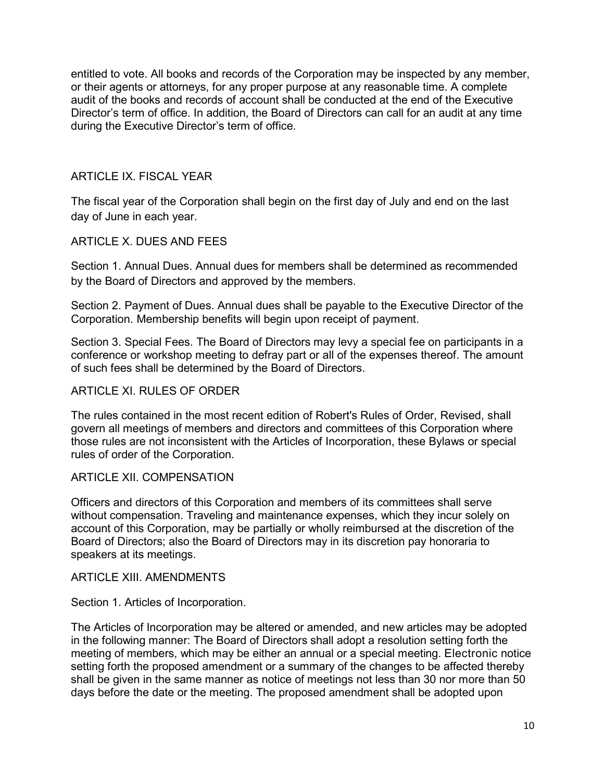entitled to vote. All books and records of the Corporation may be inspected by any member, or their agents or attorneys, for any proper purpose at any reasonable time. A complete audit of the books and records of account shall be conducted at the end of the Executive Director's term of office. In addition, the Board of Directors can call for an audit at any time during the Executive Director's term of office.

# ARTICLE IX. FISCAL YEAR

The fiscal year of the Corporation shall begin on the first day of July and end on the last day of June in each year.

## ARTICLE X. DUES AND FEES

Section 1. Annual Dues. Annual dues for members shall be determined as recommended by the Board of Directors and approved by the members.

Section 2. Payment of Dues. Annual dues shall be payable to the Executive Director of the Corporation. Membership benefits will begin upon receipt of payment.

Section 3. Special Fees. The Board of Directors may levy a special fee on participants in a conference or workshop meeting to defray part or all of the expenses thereof. The amount of such fees shall be determined by the Board of Directors.

## ARTICLE XI. RULES OF ORDER

The rules contained in the most recent edition of Robert's Rules of Order, Revised, shall govern all meetings of members and directors and committees of this Corporation where those rules are not inconsistent with the Articles of Incorporation, these Bylaws or special rules of order of the Corporation.

## ARTICLE XII. COMPENSATION

Officers and directors of this Corporation and members of its committees shall serve without compensation. Traveling and maintenance expenses, which they incur solely on account of this Corporation, may be partially or wholly reimbursed at the discretion of the Board of Directors; also the Board of Directors may in its discretion pay honoraria to speakers at its meetings.

### ARTICLE XIII. AMENDMENTS

Section 1. Articles of Incorporation.

The Articles of Incorporation may be altered or amended, and new articles may be adopted in the following manner: The Board of Directors shall adopt a resolution setting forth the meeting of members, which may be either an annual or a special meeting. Electronic notice setting forth the proposed amendment or a summary of the changes to be affected thereby shall be given in the same manner as notice of meetings not less than 30 nor more than 50 days before the date or the meeting. The proposed amendment shall be adopted upon